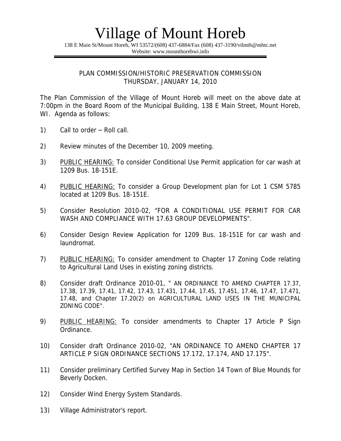138 E Main St/Mount Horeb, WI 53572/(608) 437-6884/Fax (608) 437-3190/vilmth@mhtc.net Website: www.mounthorebwi.info

#### PLAN COMMISSION/HISTORIC PRESERVATION COMMISSION THURSDAY, JANUARY 14, 2010

The Plan Commission of the Village of Mount Horeb will meet on the above date at 7:00pm in the Board Room of the Municipal Building, 138 E Main Street, Mount Horeb, WI. Agenda as follows:

- 1) Call to order Roll call.
- 2) Review minutes of the December 10, 2009 meeting.
- 3) PUBLIC HEARING: To consider Conditional Use Permit application for car wash at 1209 Bus. 18-151E.
- 4) PUBLIC HEARING: To consider a Group Development plan for Lot 1 CSM 5785 located at 1209 Bus. 18-151E.
- 5) Consider Resolution 2010-02, "FOR A CONDITIONAL USE PERMIT FOR CAR WASH AND COMPLIANCE WITH 17.63 GROUP DEVELOPMENTS".
- 6) Consider Design Review Application for 1209 Bus. 18-151E for car wash and laundromat.
- 7) PUBLIC HEARING: To consider amendment to Chapter 17 Zoning Code relating to Agricultural Land Uses in existing zoning districts.
- 8) Consider draft Ordinance 2010-01, " AN ORDINANCE TO AMEND CHAPTER 17.37, 17.38, 17.39, 17.41, 17.42, 17.43, 17.431, 17.44, 17.45, 17.451, 17.46, 17.47, 17.471, 17.48, and Chapter 17.20(2) on AGRICULTURAL LAND USES IN THE MUNICIPAL ZONING CODE".
- 9) PUBLIC HEARING: To consider amendments to Chapter 17 Article P Sign Ordinance.
- 10) Consider draft Ordinance 2010-02, "AN ORDINANCE TO AMEND CHAPTER 17 ARTICLE P SIGN ORDINANCE SECTIONS 17.172, 17.174, AND 17.175".
- 11) Consider preliminary Certified Survey Map in Section 14 Town of Blue Mounds for Beverly Docken.
- 12) Consider Wind Energy System Standards.
- 13) Village Administrator's report.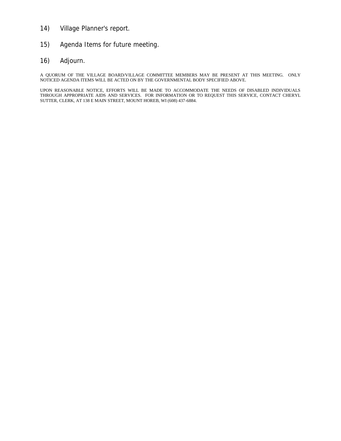- 14) Village Planner's report.
- 15) Agenda Items for future meeting.
- 16) Adjourn.

A QUORUM OF THE VILLAGE BOARD/VILLAGE COMMITTEE MEMBERS MAY BE PRESENT AT THIS MEETING. ONLY NOTICED AGENDA ITEMS WILL BE ACTED ON BY THE GOVERNMENTAL BODY SPECIFIED ABOVE.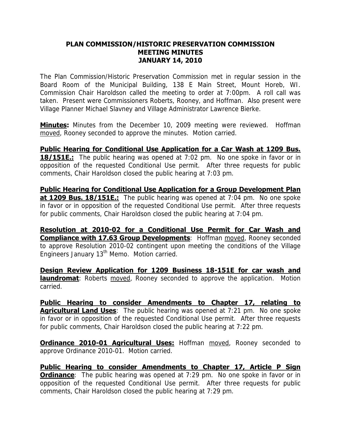### **PLAN COMMISSION/HISTORIC PRESERVATION COMMISSION MEETING MINUTES JANUARY 14, 2010**

The Plan Commission/Historic Preservation Commission met in regular session in the Board Room of the Municipal Building, 138 E Main Street, Mount Horeb, WI. Commission Chair Haroldson called the meeting to order at 7:00pm. A roll call was taken. Present were Commissioners Roberts, Rooney, and Hoffman. Also present were Village Planner Michael Slavney and Village Administrator Lawrence Bierke.

**Minutes:** Minutes from the December 10, 2009 meeting were reviewed. Hoffman moved, Rooney seconded to approve the minutes. Motion carried.

**Public Hearing for Conditional Use Application for a Car Wash at 1209 Bus. 18/151E.:** The public hearing was opened at 7:02 pm. No one spoke in favor or in opposition of the requested Conditional Use permit. After three requests for public comments, Chair Haroldson closed the public hearing at 7:03 pm.

**Public Hearing for Conditional Use Application for a Group Development Plan at 1209 Bus. 18/151E.:** The public hearing was opened at 7:04 pm. No one spoke in favor or in opposition of the requested Conditional Use permit. After three requests for public comments, Chair Haroldson closed the public hearing at 7:04 pm.

**Resolution at 2010-02 for a Conditional Use Permit for Car Wash and Compliance with 17.63 Group Developments: Hoffman moved, Rooney seconded** to approve Resolution 2010-02 contingent upon meeting the conditions of the Village Engineers January 13<sup>th</sup> Memo. Motion carried.

**Design Review Application for 1209 Business 18-151E for car wash and laundromat**: Roberts moved, Rooney seconded to approve the application. Motion carried.

**Public Hearing to consider Amendments to Chapter 17, relating to Agricultural Land Uses**: The public hearing was opened at 7:21 pm. No one spoke in favor or in opposition of the requested Conditional Use permit. After three requests for public comments, Chair Haroldson closed the public hearing at 7:22 pm.

**Ordinance 2010-01 Agricultural Uses:** Hoffman moved, Rooney seconded to approve Ordinance 2010-01. Motion carried.

**Public Hearing to consider Amendments to Chapter 17, Article P Sign Ordinance**: The public hearing was opened at 7:29 pm. No one spoke in favor or in opposition of the requested Conditional Use permit. After three requests for public comments, Chair Haroldson closed the public hearing at 7:29 pm.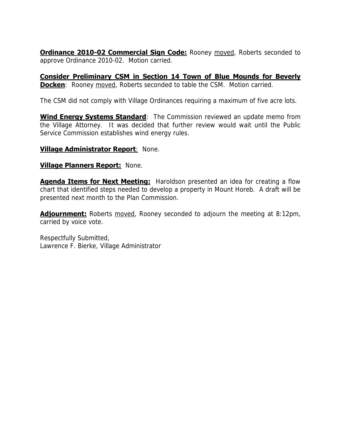**Ordinance 2010-02 Commercial Sign Code:** Rooney moved, Roberts seconded to approve Ordinance 2010-02. Motion carried.

**Consider Preliminary CSM in Section 14 Town of Blue Mounds for Beverly Docken**: Rooney moved, Roberts seconded to table the CSM. Motion carried.

The CSM did not comply with Village Ordinances requiring a maximum of five acre lots.

**Wind Energy Systems Standard**: The Commission reviewed an update memo from the Village Attorney. It was decided that further review would wait until the Public Service Commission establishes wind energy rules.

### **Village Administrator Report**: None.

### **Village Planners Report:** None.

**Agenda Items for Next Meeting:** Haroldson presented an idea for creating a flow chart that identified steps needed to develop a property in Mount Horeb. A draft will be presented next month to the Plan Commission.

**Adjournment:** Roberts moved, Rooney seconded to adjourn the meeting at 8:12pm, carried by voice vote.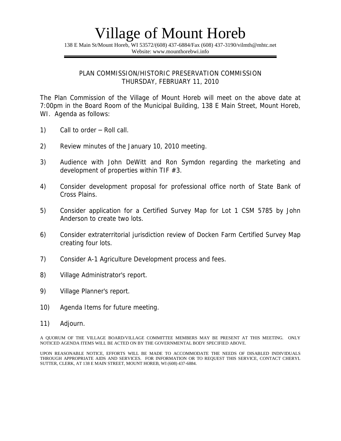138 E Main St/Mount Horeb, WI 53572/(608) 437-6884/Fax (608) 437-3190/vilmth@mhtc.net Website: www.mounthorebwi.info

#### PLAN COMMISSION/HISTORIC PRESERVATION COMMISSION THURSDAY, FEBRUARY 11, 2010

The Plan Commission of the Village of Mount Horeb will meet on the above date at 7:00pm in the Board Room of the Municipal Building, 138 E Main Street, Mount Horeb, WI. Agenda as follows:

- 1) Call to order Roll call.
- 2) Review minutes of the January 10, 2010 meeting.
- 3) Audience with John DeWitt and Ron Symdon regarding the marketing and development of properties within TIF #3.
- 4) Consider development proposal for professional office north of State Bank of Cross Plains.
- 5) Consider application for a Certified Survey Map for Lot 1 CSM 5785 by John Anderson to create two lots.
- 6) Consider extraterritorial jurisdiction review of Docken Farm Certified Survey Map creating four lots.
- 7) Consider A-1 Agriculture Development process and fees.
- 8) Village Administrator's report.
- 9) Village Planner's report.
- 10) Agenda Items for future meeting.
- 11) Adjourn.

A QUORUM OF THE VILLAGE BOARD/VILLAGE COMMITTEE MEMBERS MAY BE PRESENT AT THIS MEETING. ONLY NOTICED AGENDA ITEMS WILL BE ACTED ON BY THE GOVERNMENTAL BODY SPECIFIED ABOVE.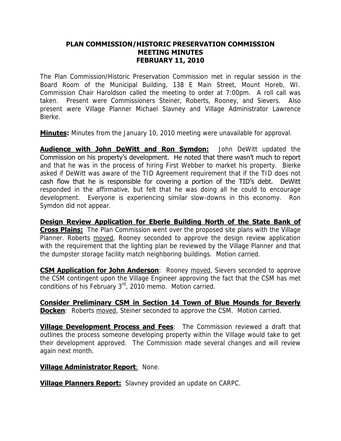### **PLAN COMMISSION/HISTORIC PRESERVATION COMMISSION MEETING MINUTES FEBRUARY 11, 2010**

The Plan Commission/Historic Preservation Commission met in regular session in the Board Room of the Municipal Building, 138 E Main Street, Mount Horeb, WI. Commission Chair Haroldson called the meeting to order at 7:00pm. A roll call was taken. Present were Commissioners Steiner, Roberts, Rooney, and Sievers. Also present were Village Planner Michael Slavney and Village Administrator Lawrence Bierke.

**Minutes:** Minutes from the January 10, 2010 meeting were unavailable for approval.

**Audience with John DeWitt and Ron Symdon:** John DeWitt updated the Commission on his property's development. He noted that there wasn't much to report and that he was in the process of hiring First Webber to market his property. Bierke asked if DeWitt was aware of the TID Agreement requirement that if the TID does not cash flow that he is responsible for covering a portion of the TID's debt. DeWitt responded in the affirmative, but felt that he was doing all he could to encourage development. Everyone is experiencing similar slow-downs in this economy. Ron Symdon did not appear.

**Design Review Application for Eberle Building North of the State Bank of Cross Plains:** The Plan Commission went over the proposed site plans with the Village Planner. Roberts moved, Rooney seconded to approve the design review application with the requirement that the lighting plan be reviewed by the Village Planner and that the dumpster storage facility match neighboring buildings. Motion carried.

**CSM Application for John Anderson**: Rooney moved, Sievers seconded to approve the CSM contingent upon the Village Engineer approving the fact that the CSM has met conditions of his February 3rd, 2010 memo. Motion carried.

**Consider Preliminary CSM in Section 14 Town of Blue Mounds for Beverly Docken**: Roberts moved, Steiner seconded to approve the CSM. Motion carried.

**Village Development Process and Fees**: The Commission reviewed a draft that outlines the process someone developing property within the Village would take to get their development approved. The Commission made several changes and will review again next month.

### **Village Administrator Report: None.**

**Village Planners Report:** Slavney provided an update on CARPC.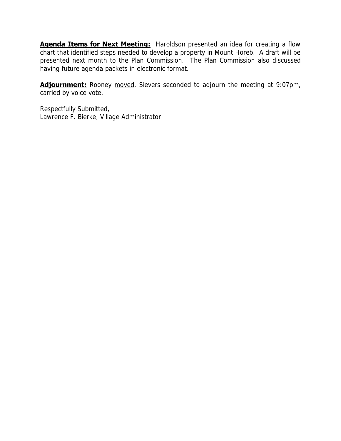**Agenda Items for Next Meeting:** Haroldson presented an idea for creating a flow chart that identified steps needed to develop a property in Mount Horeb. A draft will be presented next month to the Plan Commission. The Plan Commission also discussed having future agenda packets in electronic format.

**Adjournment:** Rooney moved, Sievers seconded to adjourn the meeting at 9:07pm, carried by voice vote.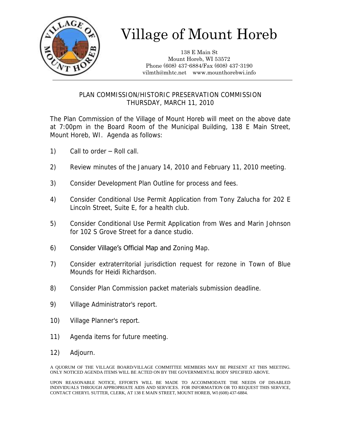

138 E Main St Mount Horeb, WI 53572 Phone (608) 437-6884/Fax (608) 437-3190 vilmth@mhtc.net www.mounthorebwi.info

## PLAN COMMISSION/HISTORIC PRESERVATION COMMISSION THURSDAY, MARCH 11, 2010

The Plan Commission of the Village of Mount Horeb will meet on the above date at 7:00pm in the Board Room of the Municipal Building, 138 E Main Street, Mount Horeb, WI. Agenda as follows:

- 1) Call to order Roll call.
- 2) Review minutes of the January 14, 2010 and February 11, 2010 meeting.
- 3) Consider Development Plan Outline for process and fees.
- 4) Consider Conditional Use Permit Application from Tony Zalucha for 202 E Lincoln Street, Suite E, for a health club.
- 5) Consider Conditional Use Permit Application from Wes and Marin Johnson for 102 S Grove Street for a dance studio.
- 6) Consider Village's Official Map and Zoning Map.
- 7) Consider extraterritorial jurisdiction request for rezone in Town of Blue Mounds for Heidi Richardson.
- 8) Consider Plan Commission packet materials submission deadline.
- 9) Village Administrator's report.
- 10) Village Planner's report.
- 11) Agenda items for future meeting.
- 12) Adjourn.

A QUORUM OF THE VILLAGE BOARD/VILLAGE COMMITTEE MEMBERS MAY BE PRESENT AT THIS MEETING. ONLY NOTICED AGENDA ITEMS WILL BE ACTED ON BY THE GOVERNMENTAL BODY SPECIFIED ABOVE.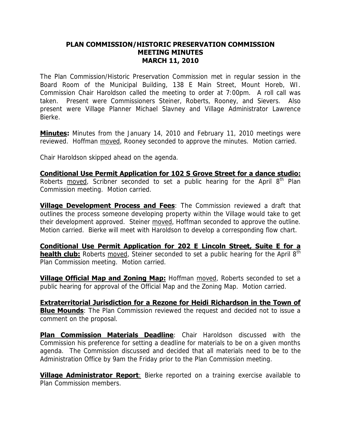### **PLAN COMMISSION/HISTORIC PRESERVATION COMMISSION MEETING MINUTES MARCH 11, 2010**

The Plan Commission/Historic Preservation Commission met in regular session in the Board Room of the Municipal Building, 138 E Main Street, Mount Horeb, WI. Commission Chair Haroldson called the meeting to order at 7:00pm. A roll call was taken. Present were Commissioners Steiner, Roberts, Rooney, and Sievers. Also present were Village Planner Michael Slavney and Village Administrator Lawrence Bierke.

**Minutes:** Minutes from the January 14, 2010 and February 11, 2010 meetings were reviewed. Hoffman moved, Rooney seconded to approve the minutes. Motion carried.

Chair Haroldson skipped ahead on the agenda.

**Conditional Use Permit Application for 102 S Grove Street for a dance studio:** Roberts moved, Scribner seconded to set a public hearing for the April  $8<sup>th</sup>$  Plan Commission meeting. Motion carried.

**Village Development Process and Fees**: The Commission reviewed a draft that outlines the process someone developing property within the Village would take to get their development approved. Steiner moved, Hoffman seconded to approve the outline. Motion carried. Bierke will meet with Haroldson to develop a corresponding flow chart.

**Conditional Use Permit Application for 202 E Lincoln Street, Suite E for a health club:** Roberts moved, Steiner seconded to set a public hearing for the April 8<sup>th</sup> Plan Commission meeting. Motion carried.

**Village Official Map and Zoning Map:** Hoffman moved, Roberts seconded to set a public hearing for approval of the Official Map and the Zoning Map. Motion carried.

**Extraterritorial Jurisdiction for a Rezone for Heidi Richardson in the Town of Blue Mounds**: The Plan Commission reviewed the request and decided not to issue a comment on the proposal.

**Plan Commission Materials Deadline**: Chair Haroldson discussed with the Commission his preference for setting a deadline for materials to be on a given months agenda. The Commission discussed and decided that all materials need to be to the Administration Office by 9am the Friday prior to the Plan Commission meeting.

**Village Administrator Report**: Bierke reported on a training exercise available to Plan Commission members.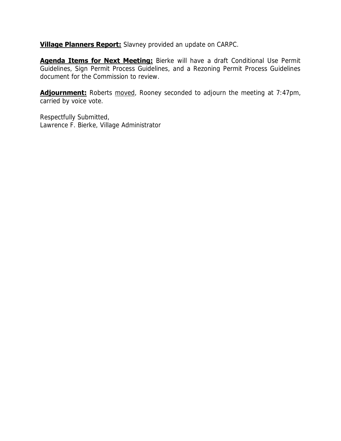**Village Planners Report:** Slavney provided an update on CARPC.

**Agenda Items for Next Meeting:** Bierke will have a draft Conditional Use Permit Guidelines, Sign Permit Process Guidelines, and a Rezoning Permit Process Guidelines document for the Commission to review.

**Adjournment:** Roberts moved, Rooney seconded to adjourn the meeting at 7:47pm, carried by voice vote.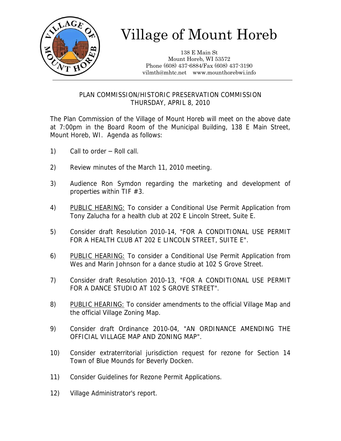

138 E Main St Mount Horeb, WI 53572 Phone (608) 437-6884/Fax (608) 437-3190 vilmth@mhtc.net www.mounthorebwi.info

### PLAN COMMISSION/HISTORIC PRESERVATION COMMISSION THURSDAY, APRIL 8, 2010

The Plan Commission of the Village of Mount Horeb will meet on the above date at 7:00pm in the Board Room of the Municipal Building, 138 E Main Street, Mount Horeb, WI. Agenda as follows:

- 1) Call to order Roll call.
- 2) Review minutes of the March 11, 2010 meeting.
- 3) Audience Ron Symdon regarding the marketing and development of properties within TIF #3.
- 4) PUBLIC HEARING: To consider a Conditional Use Permit Application from Tony Zalucha for a health club at 202 E Lincoln Street, Suite E.
- 5) Consider draft Resolution 2010-14, "FOR A CONDITIONAL USE PERMIT FOR A HEALTH CLUB AT 202 E LINCOLN STREET, SUITE E".
- 6) PUBLIC HEARING: To consider a Conditional Use Permit Application from Wes and Marin Johnson for a dance studio at 102 S Grove Street.
- 7) Consider draft Resolution 2010-13, "FOR A CONDITIONAL USE PERMIT FOR A DANCE STUDIO AT 102 S GROVE STREET".
- 8) PUBLIC HEARING: To consider amendments to the official Village Map and the official Village Zoning Map.
- 9) Consider draft Ordinance 2010-04, "AN ORDINANCE AMENDING THE OFFICIAL VILLAGE MAP AND ZONING MAP".
- 10) Consider extraterritorial jurisdiction request for rezone for Section 14 Town of Blue Mounds for Beverly Docken.
- 11) Consider Guidelines for Rezone Permit Applications.
- 12) Village Administrator's report.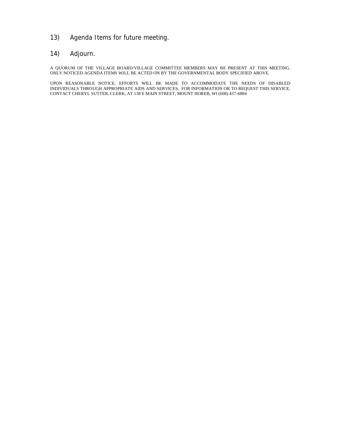### 13) Agenda Items for future meeting.

### 14) Adjourn.

A QUORUM OF THE VILLAGE BOARD/VILLAGE COMMITTEE MEMBERS MAY BE PRESENT AT THIS MEETING. ONLY NOTICED AGENDA ITEMS WILL BE ACTED ON BY THE GOVERNMENTAL BODY SPECIFIED ABOVE.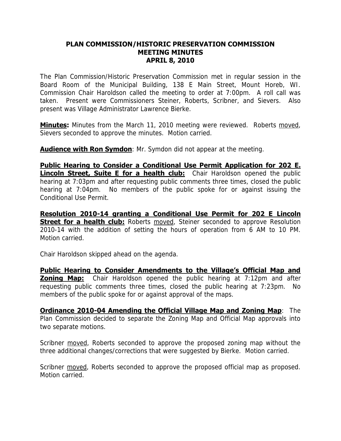### **PLAN COMMISSION/HISTORIC PRESERVATION COMMISSION MEETING MINUTES APRIL 8, 2010**

The Plan Commission/Historic Preservation Commission met in regular session in the Board Room of the Municipal Building, 138 E Main Street, Mount Horeb, WI. Commission Chair Haroldson called the meeting to order at 7:00pm. A roll call was taken. Present were Commissioners Steiner, Roberts, Scribner, and Sievers. Also present was Village Administrator Lawrence Bierke.

**Minutes:** Minutes from the March 11, 2010 meeting were reviewed. Roberts moved, Sievers seconded to approve the minutes. Motion carried.

**Audience with Ron Symdon**: Mr. Symdon did not appear at the meeting.

**Public Hearing to Consider a Conditional Use Permit Application for 202 E. Lincoln Street, Suite E for a health club:** Chair Haroldson opened the public hearing at 7:03pm and after requesting public comments three times, closed the public hearing at 7:04pm. No members of the public spoke for or against issuing the Conditional Use Permit.

**Resolution 2010-14 granting a Conditional Use Permit for 202 E Lincoln Street for a health club:** Roberts moved, Steiner seconded to approve Resolution 2010-14 with the addition of setting the hours of operation from 6 AM to 10 PM. Motion carried.

Chair Haroldson skipped ahead on the agenda.

**Public Hearing to Consider Amendments to the Village's Official Map and Zoning Map:** Chair Haroldson opened the public hearing at 7:12pm and after requesting public comments three times, closed the public hearing at 7:23pm. No members of the public spoke for or against approval of the maps.

**Ordinance 2010-04 Amending the Official Village Map and Zoning Map**: The Plan Commission decided to separate the Zoning Map and Official Map approvals into two separate motions.

Scribner moved, Roberts seconded to approve the proposed zoning map without the three additional changes/corrections that were suggested by Bierke. Motion carried.

Scribner moved, Roberts seconded to approve the proposed official map as proposed. Motion carried.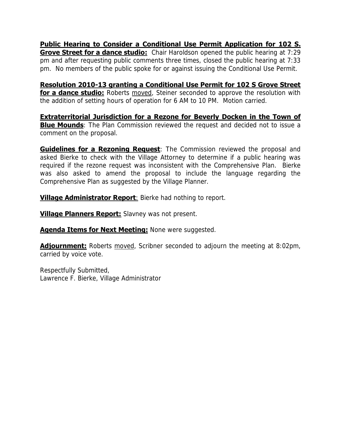**Public Hearing to Consider a Conditional Use Permit Application for 102 S. Grove Street for a dance studio:** Chair Haroldson opened the public hearing at 7:29 pm and after requesting public comments three times, closed the public hearing at 7:33 pm. No members of the public spoke for or against issuing the Conditional Use Permit.

**Resolution 2010-13 granting a Conditional Use Permit for 102 S Grove Street for a dance studio:** Roberts moved, Steiner seconded to approve the resolution with the addition of setting hours of operation for 6 AM to 10 PM. Motion carried.

**Extraterritorial Jurisdiction for a Rezone for Beverly Docken in the Town of Blue Mounds**: The Plan Commission reviewed the request and decided not to issue a comment on the proposal.

**Guidelines for a Rezoning Request**: The Commission reviewed the proposal and asked Bierke to check with the Village Attorney to determine if a public hearing was required if the rezone request was inconsistent with the Comprehensive Plan. Bierke was also asked to amend the proposal to include the language regarding the Comprehensive Plan as suggested by the Village Planner.

**Village Administrator Report:** Bierke had nothing to report.

**Village Planners Report:** Slavney was not present.

**Agenda Items for Next Meeting:** None were suggested.

**Adjournment:** Roberts moved, Scribner seconded to adjourn the meeting at 8:02pm, carried by voice vote.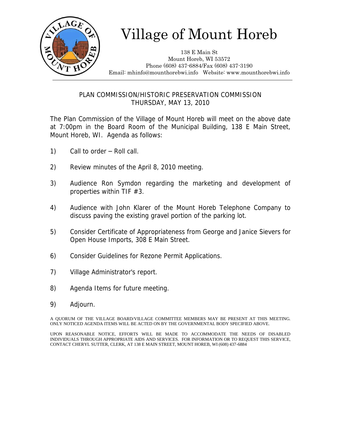

138 E Main St Mount Horeb, WI 53572 Phone (608) 437-6884/Fax (608) 437-3190 Email: mhinfo@mounthorebwi.info Website: www.mounthorebwi.info

### PLAN COMMISSION/HISTORIC PRESERVATION COMMISSION THURSDAY, MAY 13, 2010

The Plan Commission of the Village of Mount Horeb will meet on the above date at 7:00pm in the Board Room of the Municipal Building, 138 E Main Street, Mount Horeb, WI. Agenda as follows:

- 1) Call to order Roll call.
- 2) Review minutes of the April 8, 2010 meeting.
- 3) Audience Ron Symdon regarding the marketing and development of properties within TIF #3.
- 4) Audience with John Klarer of the Mount Horeb Telephone Company to discuss paving the existing gravel portion of the parking lot.
- 5) Consider Certificate of Appropriateness from George and Janice Sievers for Open House Imports, 308 E Main Street.
- 6) Consider Guidelines for Rezone Permit Applications.
- 7) Village Administrator's report.
- 8) Agenda Items for future meeting.
- 9) Adjourn.

A QUORUM OF THE VILLAGE BOARD/VILLAGE COMMITTEE MEMBERS MAY BE PRESENT AT THIS MEETING. ONLY NOTICED AGENDA ITEMS WILL BE ACTED ON BY THE GOVERNMENTAL BODY SPECIFIED ABOVE.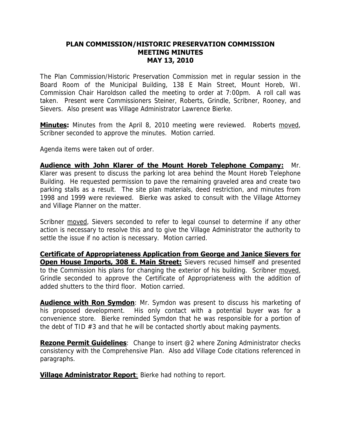### **PLAN COMMISSION/HISTORIC PRESERVATION COMMISSION MEETING MINUTES MAY 13, 2010**

The Plan Commission/Historic Preservation Commission met in regular session in the Board Room of the Municipal Building, 138 E Main Street, Mount Horeb, WI. Commission Chair Haroldson called the meeting to order at 7:00pm. A roll call was taken. Present were Commissioners Steiner, Roberts, Grindle, Scribner, Rooney, and Sievers. Also present was Village Administrator Lawrence Bierke.

**Minutes:** Minutes from the April 8, 2010 meeting were reviewed. Roberts moved, Scribner seconded to approve the minutes. Motion carried.

Agenda items were taken out of order.

**Audience with John Klarer of the Mount Horeb Telephone Company:** Mr. Klarer was present to discuss the parking lot area behind the Mount Horeb Telephone Building. He requested permission to pave the remaining graveled area and create two parking stalls as a result. The site plan materials, deed restriction, and minutes from 1998 and 1999 were reviewed. Bierke was asked to consult with the Village Attorney and Village Planner on the matter.

Scribner moved, Sievers seconded to refer to legal counsel to determine if any other action is necessary to resolve this and to give the Village Administrator the authority to settle the issue if no action is necessary. Motion carried.

**Certificate of Appropriateness Application from George and Janice Sievers for Open House Imports, 308 E. Main Street:** Sievers recused himself and presented to the Commission his plans for changing the exterior of his building. Scribner moved, Grindle seconded to approve the Certificate of Appropriateness with the addition of added shutters to the third floor. Motion carried.

**Audience with Ron Symdon**: Mr. Symdon was present to discuss his marketing of his proposed development. His only contact with a potential buyer was for a convenience store. Bierke reminded Symdon that he was responsible for a portion of the debt of TID #3 and that he will be contacted shortly about making payments.

**Rezone Permit Guidelines**: Change to insert @2 where Zoning Administrator checks consistency with the Comprehensive Plan. Also add Village Code citations referenced in paragraphs.

**Village Administrator Report:** Bierke had nothing to report.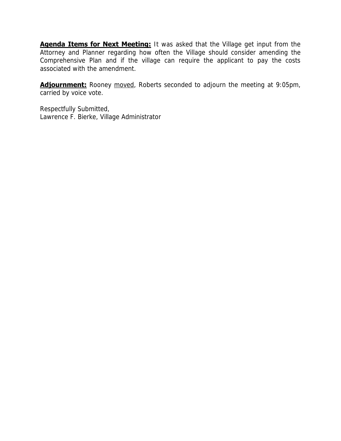**Agenda Items for Next Meeting:** It was asked that the Village get input from the Attorney and Planner regarding how often the Village should consider amending the Comprehensive Plan and if the village can require the applicant to pay the costs associated with the amendment.

**Adjournment:** Rooney moved, Roberts seconded to adjourn the meeting at 9:05pm, carried by voice vote.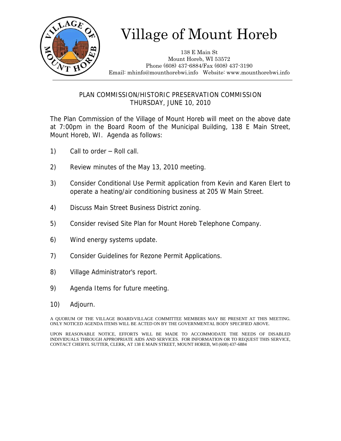

138 E Main St Mount Horeb, WI 53572 Phone (608) 437-6884/Fax (608) 437-3190 Email: mhinfo@mounthorebwi.info Website: www.mounthorebwi.info

PLAN COMMISSION/HISTORIC PRESERVATION COMMISSION THURSDAY, JUNE 10, 2010

The Plan Commission of the Village of Mount Horeb will meet on the above date at 7:00pm in the Board Room of the Municipal Building, 138 E Main Street, Mount Horeb, WI. Agenda as follows:

- 1) Call to order Roll call.
- 2) Review minutes of the May 13, 2010 meeting.
- 3) Consider Conditional Use Permit application from Kevin and Karen Elert to operate a heating/air conditioning business at 205 W Main Street.
- 4) Discuss Main Street Business District zoning.
- 5) Consider revised Site Plan for Mount Horeb Telephone Company.
- 6) Wind energy systems update.
- 7) Consider Guidelines for Rezone Permit Applications.
- 8) Village Administrator's report.
- 9) Agenda Items for future meeting.
- 10) Adjourn.

A QUORUM OF THE VILLAGE BOARD/VILLAGE COMMITTEE MEMBERS MAY BE PRESENT AT THIS MEETING. ONLY NOTICED AGENDA ITEMS WILL BE ACTED ON BY THE GOVERNMENTAL BODY SPECIFIED ABOVE.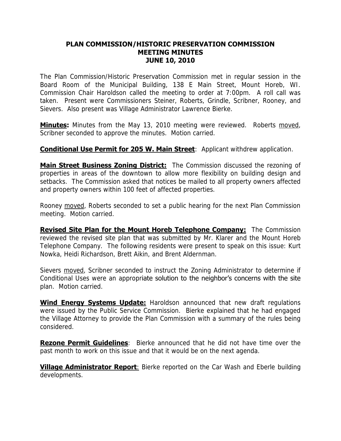### **PLAN COMMISSION/HISTORIC PRESERVATION COMMISSION MEETING MINUTES JUNE 10, 2010**

The Plan Commission/Historic Preservation Commission met in regular session in the Board Room of the Municipal Building, 138 E Main Street, Mount Horeb, WI. Commission Chair Haroldson called the meeting to order at 7:00pm. A roll call was taken. Present were Commissioners Steiner, Roberts, Grindle, Scribner, Rooney, and Sievers. Also present was Village Administrator Lawrence Bierke.

**Minutes:** Minutes from the May 13, 2010 meeting were reviewed. Roberts moved, Scribner seconded to approve the minutes. Motion carried.

## **Conditional Use Permit for 205 W. Main Street:** Applicant withdrew application.

**Main Street Business Zoning District:** The Commission discussed the rezoning of properties in areas of the downtown to allow more flexibility on building design and setbacks. The Commission asked that notices be mailed to all property owners affected and property owners within 100 feet of affected properties.

Rooney moved, Roberts seconded to set a public hearing for the next Plan Commission meeting. Motion carried.

**Revised Site Plan for the Mount Horeb Telephone Company:** The Commission reviewed the revised site plan that was submitted by Mr. Klarer and the Mount Horeb Telephone Company. The following residents were present to speak on this issue: Kurt Nowka, Heidi Richardson, Brett Aikin, and Brent Aldernman.

Sievers moved, Scribner seconded to instruct the Zoning Administrator to determine if Conditional Uses were an appropriate solution to the neighbor's concerns with the site plan. Motion carried.

**Wind Energy Systems Update:** Haroldson announced that new draft regulations were issued by the Public Service Commission. Bierke explained that he had engaged the Village Attorney to provide the Plan Commission with a summary of the rules being considered.

**Rezone Permit Guidelines**: Bierke announced that he did not have time over the past month to work on this issue and that it would be on the next agenda.

**Village Administrator Report:** Bierke reported on the Car Wash and Eberle building developments.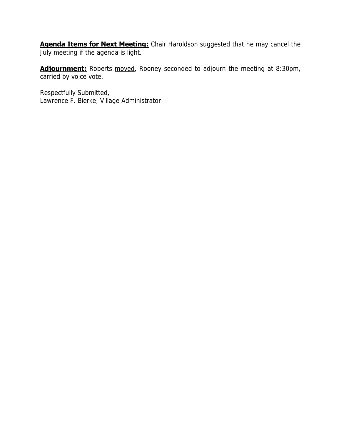**Agenda Items for Next Meeting:** Chair Haroldson suggested that he may cancel the July meeting if the agenda is light.

Adjournment: Roberts moved, Rooney seconded to adjourn the meeting at 8:30pm, carried by voice vote.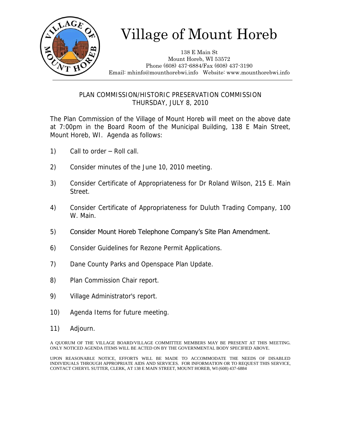

138 E Main St Mount Horeb, WI 53572 Phone (608) 437-6884/Fax (608) 437-3190 Email: mhinfo@mounthorebwi.info Website: www.mounthorebwi.info

### PLAN COMMISSION/HISTORIC PRESERVATION COMMISSION THURSDAY, JULY 8, 2010

The Plan Commission of the Village of Mount Horeb will meet on the above date at 7:00pm in the Board Room of the Municipal Building, 138 E Main Street, Mount Horeb, WI. Agenda as follows:

- 1) Call to order Roll call.
- 2) Consider minutes of the June 10, 2010 meeting.
- 3) Consider Certificate of Appropriateness for Dr Roland Wilson, 215 E. Main Street.
- 4) Consider Certificate of Appropriateness for Duluth Trading Company, 100 W. Main.
- 5) Consider Mount Horeb Telephone Company's Site Plan Amendment.
- 6) Consider Guidelines for Rezone Permit Applications.
- 7) Dane County Parks and Openspace Plan Update.
- 8) Plan Commission Chair report.
- 9) Village Administrator's report.
- 10) Agenda Items for future meeting.
- 11) Adjourn.

A QUORUM OF THE VILLAGE BOARD/VILLAGE COMMITTEE MEMBERS MAY BE PRESENT AT THIS MEETING. ONLY NOTICED AGENDA ITEMS WILL BE ACTED ON BY THE GOVERNMENTAL BODY SPECIFIED ABOVE.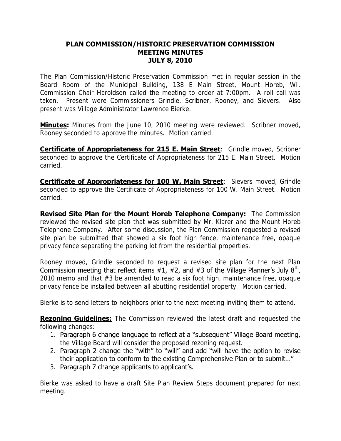### **PLAN COMMISSION/HISTORIC PRESERVATION COMMISSION MEETING MINUTES JULY 8, 2010**

The Plan Commission/Historic Preservation Commission met in regular session in the Board Room of the Municipal Building, 138 E Main Street, Mount Horeb, WI. Commission Chair Haroldson called the meeting to order at 7:00pm. A roll call was taken. Present were Commissioners Grindle, Scribner, Rooney, and Sievers. Also present was Village Administrator Lawrence Bierke.

**Minutes:** Minutes from the June 10, 2010 meeting were reviewed. Scribner moved, Rooney seconded to approve the minutes. Motion carried.

**Certificate of Appropriateness for 215 E. Main Street**: Grindle moved, Scribner seconded to approve the Certificate of Appropriateness for 215 E. Main Street. Motion carried.

**Certificate of Appropriateness for 100 W. Main Street**: Sievers moved, Grindle seconded to approve the Certificate of Appropriateness for 100 W. Main Street. Motion carried.

**Revised Site Plan for the Mount Horeb Telephone Company:** The Commission reviewed the revised site plan that was submitted by Mr. Klarer and the Mount Horeb Telephone Company. After some discussion, the Plan Commission requested a revised site plan be submitted that showed a six foot high fence, maintenance free, opaque privacy fence separating the parking lot from the residential properties.

Rooney moved, Grindle seconded to request a revised site plan for the next Plan Commission meeting that reflect items  $\#1$ ,  $\#2$ , and  $\#3$  of the Village Planner's July 8<sup>th</sup>, 2010 memo and that #3 be amended to read a six foot high, maintenance free, opaque privacy fence be installed between all abutting residential property. Motion carried.

Bierke is to send letters to neighbors prior to the next meeting inviting them to attend.

**Rezoning Guidelines:** The Commission reviewed the latest draft and requested the following changes:

- 1. Paragraph 6 change language to reflect at a "subsequent" Village Board meeting, the Village Board will consider the proposed rezoning request.
- 2. Paragraph 2 change the "with" to "will" and add "will have the option to revise their application to conform to the existing Comprehensive Plan or to submit…"
- 3. Paragraph 7 change applicants to applicant's.

Bierke was asked to have a draft Site Plan Review Steps document prepared for next meeting.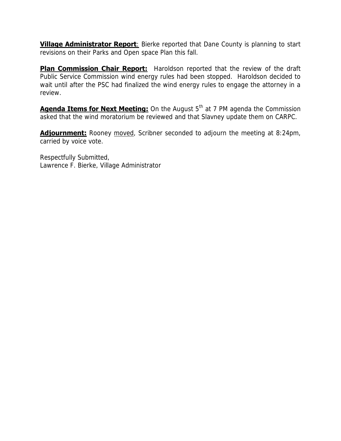**Village Administrator Report:** Bierke reported that Dane County is planning to start revisions on their Parks and Open space Plan this fall.

**Plan Commission Chair Report:** Haroldson reported that the review of the draft Public Service Commission wind energy rules had been stopped. Haroldson decided to wait until after the PSC had finalized the wind energy rules to engage the attorney in a review.

**Agenda Items for Next Meeting:** On the August 5<sup>th</sup> at 7 PM agenda the Commission asked that the wind moratorium be reviewed and that Slavney update them on CARPC.

**Adjournment:** Rooney moved, Scribner seconded to adjourn the meeting at 8:24pm, carried by voice vote.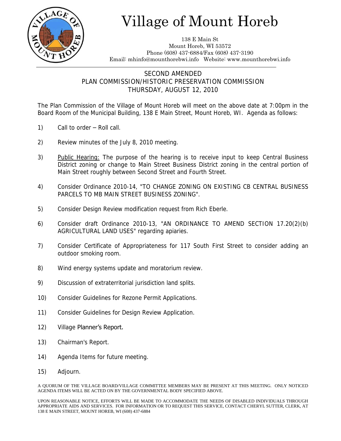

138 E Main St Mount Horeb, WI 53572 Phone (608) 437-6884/Fax (608) 437-3190 Email: mhinfo@mounthorebwi.info Website: www.mounthorebwi.info

### SECOND AMENDED PLAN COMMISSION/HISTORIC PRESERVATION COMMISSION THURSDAY, AUGUST 12, 2010

The Plan Commission of the Village of Mount Horeb will meet on the above date at 7:00pm in the Board Room of the Municipal Building, 138 E Main Street, Mount Horeb, WI. Agenda as follows:

- 1) Call to order Roll call.
- 2) Review minutes of the July 8, 2010 meeting.
- 3) Public Hearing: The purpose of the hearing is to receive input to keep Central Business District zoning or change to Main Street Business District zoning in the central portion of Main Street roughly between Second Street and Fourth Street.
- 4) Consider Ordinance 2010-14, "TO CHANGE ZONING ON EXISTING CB CENTRAL BUSINESS PARCELS TO MB MAIN STREET BUSINESS ZONING".
- 5) Consider Design Review modification request from Rich Eberle.
- 6) Consider draft Ordinance 2010-13, "AN ORDINANCE TO AMEND SECTION 17.20(2)(b) AGRICULTURAL LAND USES" regarding apiaries.
- 7) Consider Certificate of Appropriateness for 117 South First Street to consider adding an outdoor smoking room.
- 8) Wind energy systems update and moratorium review.
- 9) Discussion of extraterritorial jurisdiction land splits.
- 10) Consider Guidelines for Rezone Permit Applications.
- 11) Consider Guidelines for Design Review Application.
- 12) Village Planner's Report.
- 13) Chairman's Report.
- 14) Agenda Items for future meeting.
- 15) Adjourn.

A QUORUM OF THE VILLAGE BOARD/VILLAGE COMMITTEE MEMBERS MAY BE PRESENT AT THIS MEETING. ONLY NOTICED AGENDA ITEMS WILL BE ACTED ON BY THE GOVERNMENTAL BODY SPECIFIED ABOVE.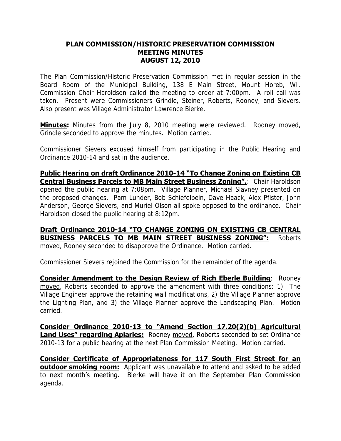### **PLAN COMMISSION/HISTORIC PRESERVATION COMMISSION MEETING MINUTES AUGUST 12, 2010**

The Plan Commission/Historic Preservation Commission met in regular session in the Board Room of the Municipal Building, 138 E Main Street, Mount Horeb, WI. Commission Chair Haroldson called the meeting to order at 7:00pm. A roll call was taken. Present were Commissioners Grindle, Steiner, Roberts, Rooney, and Sievers. Also present was Village Administrator Lawrence Bierke.

**Minutes:** Minutes from the July 8, 2010 meeting were reviewed. Rooney moved, Grindle seconded to approve the minutes. Motion carried.

Commissioner Sievers excused himself from participating in the Public Hearing and Ordinance 2010-14 and sat in the audience.

**Public Hearing on draft Ordinance 2010-14 "To Change Zoning on Existing CB Central Business Parcels to MB Main Street Business Zoning". Chair Haroldson** opened the public hearing at 7:08pm. Village Planner, Michael Slavney presented on the proposed changes. Pam Lunder, Bob Schiefelbein, Dave Haack, Alex Pfister, John Anderson, George Sievers, and Muriel Olson all spoke opposed to the ordinance. Chair Haroldson closed the public hearing at 8:12pm.

#### **Draft Ordinance 2010-14 "TO CHANGE ZONING ON EXISTING CB CENTRAL BUSINESS PARCELS TO MB MAIN STREET BUSINESS ZONING":** Roberts moved, Rooney seconded to disapprove the Ordinance. Motion carried.

Commissioner Sievers rejoined the Commission for the remainder of the agenda.

**Consider Amendment to the Design Review of Rich Eberle Building**: Rooney moved, Roberts seconded to approve the amendment with three conditions: 1) The Village Engineer approve the retaining wall modifications, 2) the Village Planner approve the Lighting Plan, and 3) the Village Planner approve the Landscaping Plan. Motion carried.

**Consider Ordinance 2010-13 to "Amend Section 17.20(2)(b) Agricultural Land Uses" regarding Apiaries:** Rooney moved, Roberts seconded to set Ordinance 2010-13 for a public hearing at the next Plan Commission Meeting. Motion carried.

**Consider Certificate of Appropriateness for 117 South First Street for an outdoor smoking room:** Applicant was unavailable to attend and asked to be added to next month's meeting. Bierke will have it on the September Plan Commission agenda.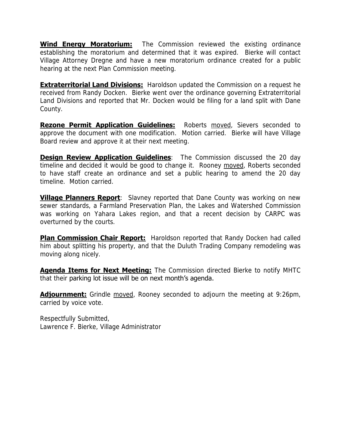**Wind Energy Moratorium:** The Commission reviewed the existing ordinance establishing the moratorium and determined that it was expired. Bierke will contact Village Attorney Dregne and have a new moratorium ordinance created for a public hearing at the next Plan Commission meeting.

**Extraterritorial Land Divisions:** Haroldson updated the Commission on a request he received from Randy Docken. Bierke went over the ordinance governing Extraterritorial Land Divisions and reported that Mr. Docken would be filing for a land split with Dane County.

**Rezone Permit Application Guidelines:** Roberts moved, Sievers seconded to approve the document with one modification. Motion carried. Bierke will have Village Board review and approve it at their next meeting.

**Design Review Application Guidelines**: The Commission discussed the 20 day timeline and decided it would be good to change it. Rooney moved, Roberts seconded to have staff create an ordinance and set a public hearing to amend the 20 day timeline. Motion carried.

**Village Planners Report**: Slavney reported that Dane County was working on new sewer standards, a Farmland Preservation Plan, the Lakes and Watershed Commission was working on Yahara Lakes region, and that a recent decision by CARPC was overturned by the courts.

**Plan Commission Chair Report:** Haroldson reported that Randy Docken had called him about splitting his property, and that the Duluth Trading Company remodeling was moving along nicely.

**Agenda Items for Next Meeting:** The Commission directed Bierke to notify MHTC that their parking lot issue will be on next month's agenda.

**Adjournment:** Grindle moved, Rooney seconded to adjourn the meeting at 9:26pm, carried by voice vote.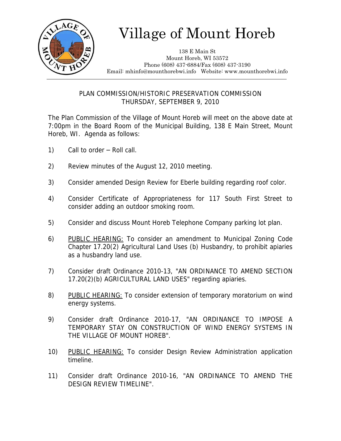

138 E Main St Mount Horeb, WI 53572 Phone (608) 437-6884/Fax (608) 437-3190 Email: mhinfo@mounthorebwi.info Website: www.mounthorebwi.info

### PLAN COMMISSION/HISTORIC PRESERVATION COMMISSION THURSDAY, SEPTEMBER 9, 2010

The Plan Commission of the Village of Mount Horeb will meet on the above date at 7:00pm in the Board Room of the Municipal Building, 138 E Main Street, Mount Horeb, WI. Agenda as follows:

- 1) Call to order Roll call.
- 2) Review minutes of the August 12, 2010 meeting.
- 3) Consider amended Design Review for Eberle building regarding roof color.
- 4) Consider Certificate of Appropriateness for 117 South First Street to consider adding an outdoor smoking room.
- 5) Consider and discuss Mount Horeb Telephone Company parking lot plan.
- 6) PUBLIC HEARING: To consider an amendment to Municipal Zoning Code Chapter 17.20(2) Agricultural Land Uses (b) Husbandry, to prohibit apiaries as a husbandry land use.
- 7) Consider draft Ordinance 2010-13, "AN ORDINANCE TO AMEND SECTION 17.20(2)(b) AGRICULTURAL LAND USES" regarding apiaries.
- 8) PUBLIC HEARING: To consider extension of temporary moratorium on wind energy systems.
- 9) Consider draft Ordinance 2010-17, "AN ORDINANCE TO IMPOSE A TEMPORARY STAY ON CONSTRUCTION OF WIND ENERGY SYSTEMS IN THE VILLAGE OF MOUNT HOREB".
- 10) PUBLIC HEARING: To consider Design Review Administration application timeline.
- 11) Consider draft Ordinance 2010-16, "AN ORDINANCE TO AMEND THE DESIGN REVIEW TIMELINE".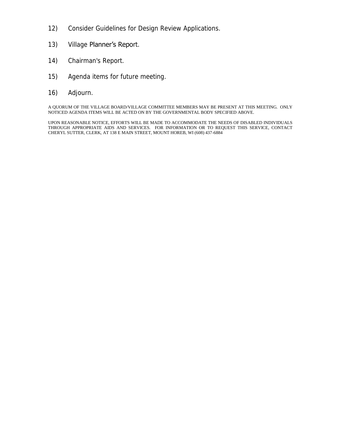- 12) Consider Guidelines for Design Review Applications.
- 13) Village Planner's Report.
- 14) Chairman's Report.
- 15) Agenda items for future meeting.
- 16) Adjourn.

A QUORUM OF THE VILLAGE BOARD/VILLAGE COMMITTEE MEMBERS MAY BE PRESENT AT THIS MEETING. ONLY NOTICED AGENDA ITEMS WILL BE ACTED ON BY THE GOVERNMENTAL BODY SPECIFIED ABOVE.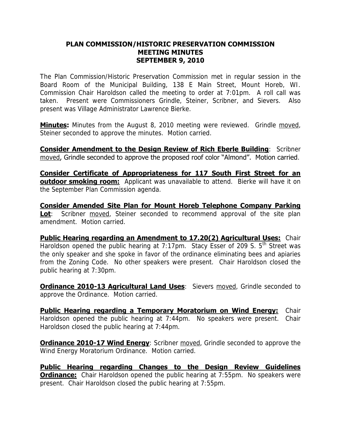### **PLAN COMMISSION/HISTORIC PRESERVATION COMMISSION MEETING MINUTES SEPTEMBER 9, 2010**

The Plan Commission/Historic Preservation Commission met in regular session in the Board Room of the Municipal Building, 138 E Main Street, Mount Horeb, WI. Commission Chair Haroldson called the meeting to order at 7:01pm. A roll call was taken. Present were Commissioners Grindle, Steiner, Scribner, and Sievers. Also present was Village Administrator Lawrence Bierke.

**Minutes:** Minutes from the August 8, 2010 meeting were reviewed. Grindle moved, Steiner seconded to approve the minutes. Motion carried.

**Consider Amendment to the Design Review of Rich Eberle Building**: Scribner moved, Grindle seconded to approve the proposed roof color "Almond". Motion carried.

**Consider Certificate of Appropriateness for 117 South First Street for an outdoor smoking room:** Applicant was unavailable to attend. Bierke will have it on the September Plan Commission agenda.

**Consider Amended Site Plan for Mount Horeb Telephone Company Parking Lot**: Scribner moved, Steiner seconded to recommend approval of the site plan amendment. Motion carried.

**Public Hearing regarding an Amendment to 17.20(2) Agricultural Uses: Chair** Haroldson opened the public hearing at 7:17pm. Stacy Esser of 209 S. 5<sup>th</sup> Street was the only speaker and she spoke in favor of the ordinance eliminating bees and apiaries from the Zoning Code. No other speakers were present. Chair Haroldson closed the public hearing at 7:30pm.

**Ordinance 2010-13 Agricultural Land Uses: Sievers moved, Grindle seconded to** approve the Ordinance. Motion carried.

**Public Hearing regarding a Temporary Moratorium on Wind Energy:** Chair Haroldson opened the public hearing at 7:44pm. No speakers were present. Chair Haroldson closed the public hearing at 7:44pm.

**Ordinance 2010-17 Wind Energy:** Scribner moved, Grindle seconded to approve the Wind Energy Moratorium Ordinance. Motion carried.

**Public Hearing regarding Changes to the Design Review Guidelines Ordinance:** Chair Haroldson opened the public hearing at 7:55pm. No speakers were present. Chair Haroldson closed the public hearing at 7:55pm.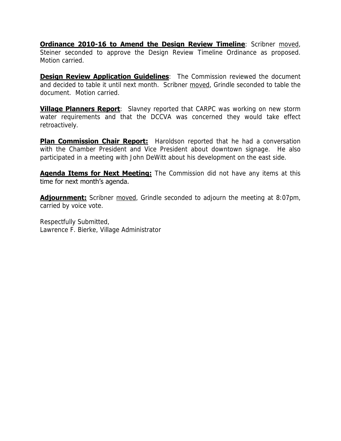**Ordinance 2010-16 to Amend the Design Review Timeline**: Scribner moved, Steiner seconded to approve the Design Review Timeline Ordinance as proposed. Motion carried.

**Design Review Application Guidelines:** The Commission reviewed the document and decided to table it until next month. Scribner moved, Grindle seconded to table the document. Motion carried.

**Village Planners Report**: Slavney reported that CARPC was working on new storm water requirements and that the DCCVA was concerned they would take effect retroactively.

**Plan Commission Chair Report:** Haroldson reported that he had a conversation with the Chamber President and Vice President about downtown signage. He also participated in a meeting with John DeWitt about his development on the east side.

**Agenda Items for Next Meeting:** The Commission did not have any items at this time for next month's agenda.

**Adjournment:** Scribner moved, Grindle seconded to adjourn the meeting at 8:07pm, carried by voice vote.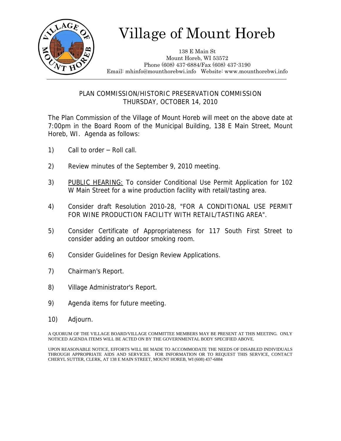

138 E Main St Mount Horeb, WI 53572 Phone (608) 437-6884/Fax (608) 437-3190 Email: mhinfo@mounthorebwi.info Website: www.mounthorebwi.info

PLAN COMMISSION/HISTORIC PRESERVATION COMMISSION THURSDAY, OCTOBER 14, 2010

The Plan Commission of the Village of Mount Horeb will meet on the above date at 7:00pm in the Board Room of the Municipal Building, 138 E Main Street, Mount Horeb, WI. Agenda as follows:

- 1) Call to order Roll call.
- 2) Review minutes of the September 9, 2010 meeting.
- 3) PUBLIC HEARING: To consider Conditional Use Permit Application for 102 W Main Street for a wine production facility with retail/tasting area.
- 4) Consider draft Resolution 2010-28, "FOR A CONDITIONAL USE PERMIT FOR WINE PRODUCTION FACILITY WITH RETAIL/TASTING AREA".
- 5) Consider Certificate of Appropriateness for 117 South First Street to consider adding an outdoor smoking room.
- 6) Consider Guidelines for Design Review Applications.
- 7) Chairman's Report.
- 8) Village Administrator's Report.
- 9) Agenda items for future meeting.
- 10) Adjourn.

A QUORUM OF THE VILLAGE BOARD/VILLAGE COMMITTEE MEMBERS MAY BE PRESENT AT THIS MEETING. ONLY NOTICED AGENDA ITEMS WILL BE ACTED ON BY THE GOVERNMENTAL BODY SPECIFIED ABOVE.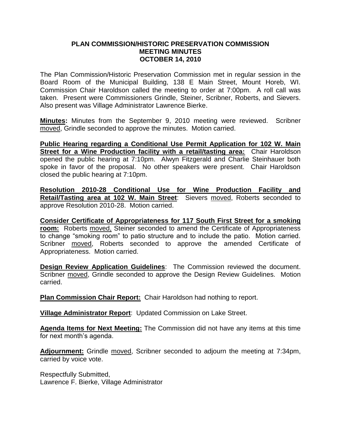#### **PLAN COMMISSION/HISTORIC PRESERVATION COMMISSION MEETING MINUTES OCTOBER 14, 2010**

The Plan Commission/Historic Preservation Commission met in regular session in the Board Room of the Municipal Building, 138 E Main Street, Mount Horeb, WI. Commission Chair Haroldson called the meeting to order at 7:00pm. A roll call was taken. Present were Commissioners Grindle, Steiner, Scribner, Roberts, and Sievers. Also present was Village Administrator Lawrence Bierke.

**Minutes:** Minutes from the September 9, 2010 meeting were reviewed. Scribner moved, Grindle seconded to approve the minutes. Motion carried.

**Public Hearing regarding a Conditional Use Permit Application for 102 W. Main Street for a Wine Production facility with a retail/tasting area:** Chair Haroldson opened the public hearing at 7:10pm. Alwyn Fitzgerald and Charlie Steinhauer both spoke in favor of the proposal. No other speakers were present. Chair Haroldson closed the public hearing at 7:10pm.

**Resolution 2010-28 Conditional Use for Wine Production Facility and Retail/Tasting area at 102 W. Main Street**: Sievers moved, Roberts seconded to approve Resolution 2010-28. Motion carried.

**Consider Certificate of Appropriateness for 117 South First Street for a smoking room:** Roberts moved, Steiner seconded to amend the Certificate of Appropriateness to change "smoking room" to patio structure and to include the patio. Motion carried. Scribner moved, Roberts seconded to approve the amended Certificate of Appropriateness. Motion carried.

**Design Review Application Guidelines**: The Commission reviewed the document. Scribner moved, Grindle seconded to approve the Design Review Guidelines. Motion carried.

**Plan Commission Chair Report:** Chair Haroldson had nothing to report.

**Village Administrator Report**: Updated Commission on Lake Street.

**Agenda Items for Next Meeting:** The Commission did not have any items at this time for next month's agenda.

**Adjournment:** Grindle moved, Scribner seconded to adjourn the meeting at 7:34pm, carried by voice vote.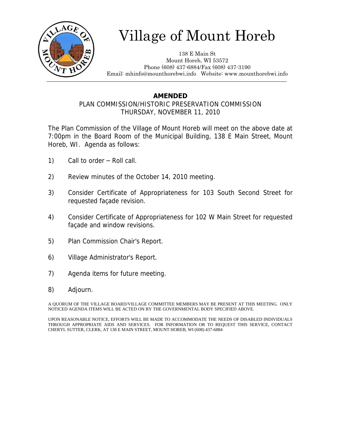

138 E Main St Mount Horeb, WI 53572 Phone (608) 437-6884/Fax (608) 437-3190 Email: mhinfo@mounthorebwi.info Website: www.mounthorebwi.info

## **AMENDED**

### PLAN COMMISSION/HISTORIC PRESERVATION COMMISSION THURSDAY, NOVEMBER 11, 2010

The Plan Commission of the Village of Mount Horeb will meet on the above date at 7:00pm in the Board Room of the Municipal Building, 138 E Main Street, Mount Horeb, WI. Agenda as follows:

- 1) Call to order Roll call.
- 2) Review minutes of the October 14, 2010 meeting.
- 3) Consider Certificate of Appropriateness for 103 South Second Street for requested façade revision.
- 4) Consider Certificate of Appropriateness for 102 W Main Street for requested façade and window revisions.
- 5) Plan Commission Chair's Report.
- 6) Village Administrator's Report.
- 7) Agenda items for future meeting.
- 8) Adjourn.

A QUORUM OF THE VILLAGE BOARD/VILLAGE COMMITTEE MEMBERS MAY BE PRESENT AT THIS MEETING. ONLY NOTICED AGENDA ITEMS WILL BE ACTED ON BY THE GOVERNMENTAL BODY SPECIFIED ABOVE.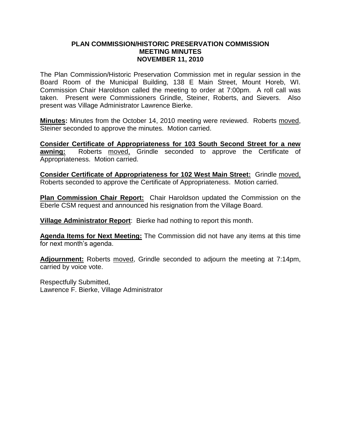#### **PLAN COMMISSION/HISTORIC PRESERVATION COMMISSION MEETING MINUTES NOVEMBER 11, 2010**

The Plan Commission/Historic Preservation Commission met in regular session in the Board Room of the Municipal Building, 138 E Main Street, Mount Horeb, WI. Commission Chair Haroldson called the meeting to order at 7:00pm. A roll call was taken. Present were Commissioners Grindle, Steiner, Roberts, and Sievers. Also present was Village Administrator Lawrence Bierke.

**Minutes:** Minutes from the October 14, 2010 meeting were reviewed. Roberts moved, Steiner seconded to approve the minutes. Motion carried.

**Consider Certificate of Appropriateness for 103 South Second Street for a new awning:** Roberts moved, Grindle seconded to approve the Certificate of Appropriateness. Motion carried.

**Consider Certificate of Appropriateness for 102 West Main Street:** Grindle moved, Roberts seconded to approve the Certificate of Appropriateness. Motion carried.

**Plan Commission Chair Report:** Chair Haroldson updated the Commission on the Eberle CSM request and announced his resignation from the Village Board.

**Village Administrator Report**: Bierke had nothing to report this month.

**Agenda Items for Next Meeting:** The Commission did not have any items at this time for next month's agenda.

**Adjournment:** Roberts moved, Grindle seconded to adjourn the meeting at 7:14pm, carried by voice vote.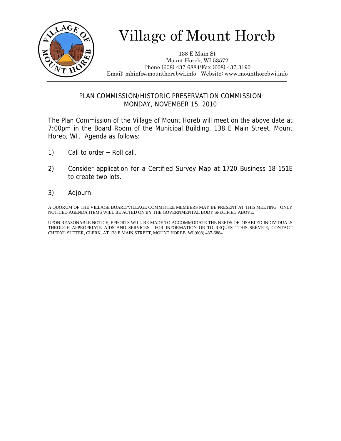

138 E Main St Mount Horeb, WI 53572 Phone (608) 437-6884/Fax (608) 437-3190 Email: mhinfo@mounthorebwi.info Website: www.mounthorebwi.info

### PLAN COMMISSION/HISTORIC PRESERVATION COMMISSION MONDAY, NOVEMBER 15, 2010

The Plan Commission of the Village of Mount Horeb will meet on the above date at 7:00pm in the Board Room of the Municipal Building, 138 E Main Street, Mount Horeb, WI. Agenda as follows:

- 1) Call to order Roll call.
- 2) Consider application for a Certified Survey Map at 1720 Business 18-151E to create two lots.
- 3) Adjourn.

A QUORUM OF THE VILLAGE BOARD/VILLAGE COMMITTEE MEMBERS MAY BE PRESENT AT THIS MEETING. ONLY NOTICED AGENDA ITEMS WILL BE ACTED ON BY THE GOVERNMENTAL BODY SPECIFIED ABOVE.